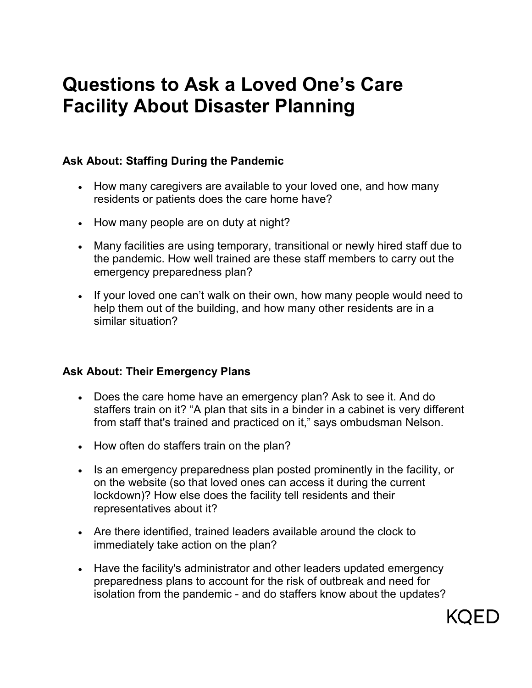# **Questions to Ask a Loved One's Care Facility About Disaster Planning**

## **Ask About: Staffing During the Pandemic**

- How many caregivers are available to your loved one, and how many residents or patients does the care home have?
- How many people are on duty at night?
- Many facilities are using temporary, transitional or newly hired staff due to the pandemic. How well trained are these staff members to carry out the emergency preparedness plan?
- If your loved one can't walk on their own, how many people would need to help them out of the building, and how many other residents are in a similar situation?

#### **Ask About: Their Emergency Plans**

- Does the care home have an emergency plan? Ask to see it. And do staffers train on it? "A plan that sits in a binder in a cabinet is very different from staff that's trained and practiced on it," says ombudsman Nelson.
- How often do staffers train on the plan?
- Is an emergency preparedness plan posted prominently in the facility, or on the website (so that loved ones can access it during the current lockdown)? How else does the facility tell residents and their representatives about it?
- Are there identified, trained leaders available around the clock to immediately take action on the plan?
- Have the facility's administrator and other leaders updated emergency preparedness plans to account for the risk of outbreak and need for isolation from the pandemic - and do staffers know about the updates?